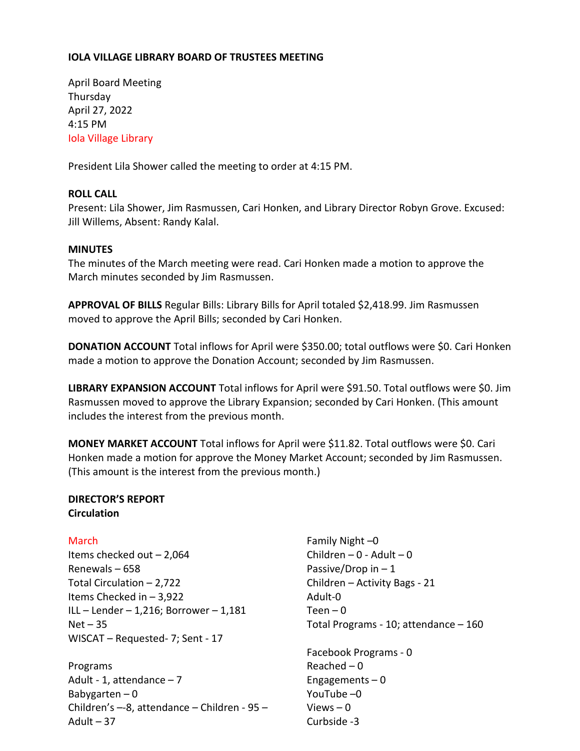# **IOLA VILLAGE LIBRARY BOARD OF TRUSTEES MEETING**

April Board Meeting Thursday April 27, 2022 4:15 PM Iola Village Library

President Lila Shower called the meeting to order at 4:15 PM.

## **ROLL CALL**

Present: Lila Shower, Jim Rasmussen, Cari Honken, and Library Director Robyn Grove. Excused: Jill Willems, Absent: Randy Kalal.

## **MINUTES**

The minutes of the March meeting were read. Cari Honken made a motion to approve the March minutes seconded by Jim Rasmussen.

**APPROVAL OF BILLS** Regular Bills: Library Bills for April totaled \$2,418.99. Jim Rasmussen moved to approve the April Bills; seconded by Cari Honken.

**DONATION ACCOUNT** Total inflows for April were \$350.00; total outflows were \$0. Cari Honken made a motion to approve the Donation Account; seconded by Jim Rasmussen.

**LIBRARY EXPANSION ACCOUNT** Total inflows for April were \$91.50. Total outflows were \$0. Jim Rasmussen moved to approve the Library Expansion; seconded by Cari Honken. (This amount includes the interest from the previous month.

**MONEY MARKET ACCOUNT** Total inflows for April were \$11.82. Total outflows were \$0. Cari Honken made a motion for approve the Money Market Account; seconded by Jim Rasmussen. (This amount is the interest from the previous month.)

### **DIRECTOR'S REPORT Circulation**

**March** 

Items checked out – 2,064 Renewals – 658 Total Circulation – 2,722 Items Checked in – 3,922 ILL – Lender – 1,216; Borrower – 1,181  $Net - 35$ WISCAT – Requested- 7; Sent - 17

Programs Adult - 1, attendance  $-7$ Babygarten – 0 Children's –-8, attendance – Children - 95 – Adult  $-37$ 

Family Night –0 Children –  $0$  - Adult –  $0$ Passive/Drop in  $-1$ Children – Activity Bags - 21 Adult-0  $Teen - 0$ Total Programs - 10; attendance – 160 Facebook Programs - 0 Reached  $-0$ Engagements  $-0$ YouTube –0 Views  $-0$ Curbside -3